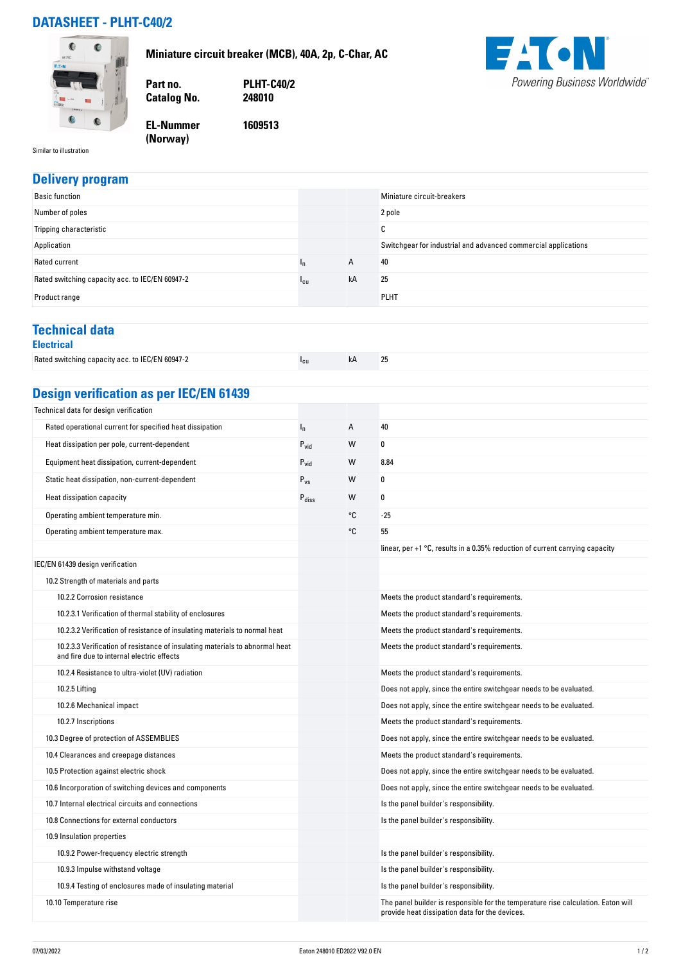## **DATASHEET - PLHT-C40/2**

**Miniature circuit breaker (MCB), 40A, 2p, C-Char, AC**



**Part no. PLHT-C40/2 Catalog No.** 

**EL-Nummer (Norway) 1609513**



Similar to illustration

## **Delivery program**<br>**Basic function** Miniature circuit-breakers Number of poles 2 pole Tripping characteristic C Application Switchgear for industrial and advanced commercial applications Rated current  $I_n$  A 40 Rated switching capacity acc. to IEC/EN 60947-2  $I_{\text{cu}}$   $I_{\text{cu}}$  kA 25 Product range PLHT results and the product range  $\mathbb{P}$  . The product range  $\mathbb{P}$ **Technical data Electrical** Rated switching capacity acc. to IEC/EN 60947-2 Icu kA 25 **Design verification as per IEC/EN 61439** Technical data for design verification Rated operational current for specified heat dissipation  $I_n$   $I_n$   $A$   $A$ Heat dissipation per pole, current-dependent example of the pole of  $P_{\text{vid}}$  and  $W$  or  $0$ Equipment heat dissipation, current-dependent Pvid Pvid W 8.84 Static heat dissipation, non-current-dependent  $P_{vs}$  W 0 Heat dissipation capacity  $P_{\text{diss}}$  W 0 Operating ambient temperature min. The contract of the contract of the contract of the contract of the contract of the contract of the contract of the contract of the contract of the contract of the contract of the contrac Operating ambient temperature max. Community of the state of the state of the state of the state of the state of the state of the state of the state of the state of the state of the state of the state of the state of the s linear, per +1 °C, results in a 0.35% reduction of current carrying capacity IEC/EN 61439 design verification 10.2 Strength of materials and parts 10.2.2 Corrosion resistance and the product standard's requirements. 10.2.3.1 Verification of thermal stability of enclosures Meets Meets the product standard's requirements. 10.2.3.2 Verification of resistance of insulating materials to normal heat Meets the product standard's requirements. 10.2.3.3 Verification of resistance of insulating materials to abnormal heat and fire due to internal electric effects Meets the product standard's requirements. 10.2.4 Resistance to ultra-violet (UV) radiation Meets the product standard's requirements. 10.2.5 Lifting Does not apply, since the entire switchgear needs to be evaluated. 10.2.6 Mechanical impact Does not apply, since the entire switchgear needs to be evaluated. 10.2.7 Inscriptions **Meets** the product standard's requirements. 10.3 Degree of protection of ASSEMBLIES Does not apply, since the entire switchgear needs to be evaluated. 10.4 Clearances and creepage distances Meets the product standard's requirements. 10.5 Protection against electric shock Does not apply, since the entire switchgear needs to be evaluated. 10.6 Incorporation of switching devices and components Does not apply, since the entire switchgear needs to be evaluated. 10.7 Internal electrical circuits and connections Is the panel builder's responsibility. 10.8 Connections for external conductors **Is the panel builder's responsibility.** 10.9 Insulation properties 10.9.2 Power-frequency electric strength Is the panel builder's responsibility. 10.9.3 Impulse withstand voltage Is the panel builder's responsibility. 10.9.4 Testing of enclosures made of insulating material Is the panel builder's responsibility. 10.10 Temperature rise The panel builder is responsible for the temperature rise calculation. Eaton will provide heat dissipation data for the devices.